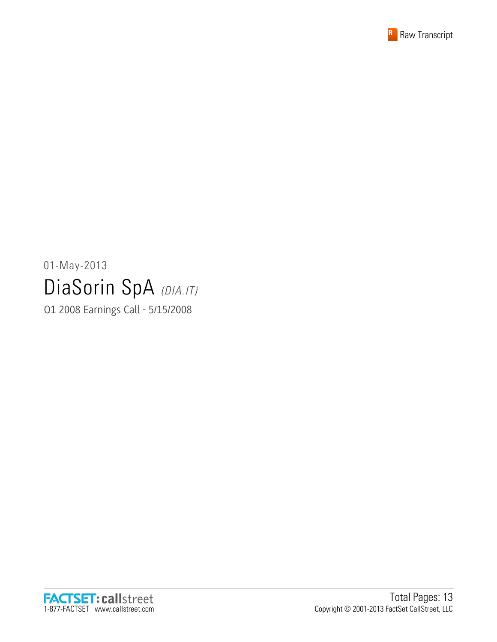

# 01-May-2013 DiaSorin SpA (DIA.IT)

Q1 2008 Earnings Call - 5/15/2008

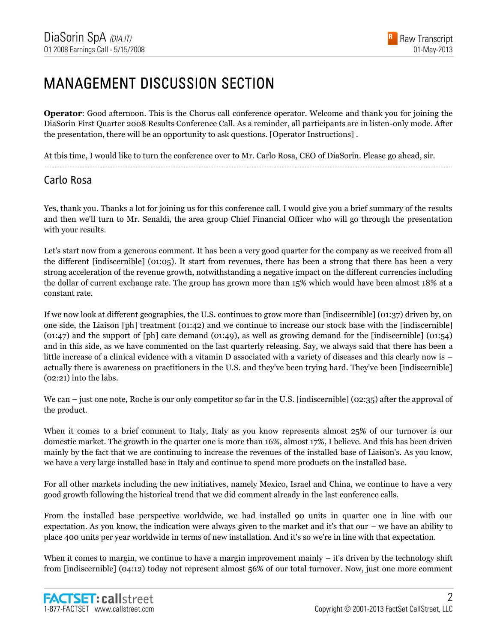#### MANAGEMENT DISCUSSION SECTION

**Operator**: Good afternoon. This is the Chorus call conference operator. Welcome and thank you for joining the DiaSorin First Quarter 2008 Results Conference Call. As a reminder, all participants are in listen-only mode. After the presentation, there will be an opportunity to ask questions. [Operator Instructions] .

......................................................................................................................................................................................................................................................

At this time, I would like to turn the conference over to Mr. Carlo Rosa, CEO of DiaSorin. Please go ahead, sir.

#### Carlo Rosa

Yes, thank you. Thanks a lot for joining us for this conference call. I would give you a brief summary of the results and then we'll turn to Mr. Senaldi, the area group Chief Financial Officer who will go through the presentation with your results.

Let's start now from a generous comment. It has been a very good quarter for the company as we received from all the different [indiscernible] (01:05). It start from revenues, there has been a strong that there has been a very strong acceleration of the revenue growth, notwithstanding a negative impact on the different currencies including the dollar of current exchange rate. The group has grown more than 15% which would have been almost 18% at a constant rate.

If we now look at different geographies, the U.S. continues to grow more than [indiscernible] (01:37) driven by, on one side, the Liaison [ph] treatment (01:42) and we continue to increase our stock base with the [indiscernible] (01:47) and the support of [ph] care demand (01:49), as well as growing demand for the [indiscernible] (01:54) and in this side, as we have commented on the last quarterly releasing. Say, we always said that there has been a little increase of a clinical evidence with a vitamin D associated with a variety of diseases and this clearly now is – actually there is awareness on practitioners in the U.S. and they've been trying hard. They've been [indiscernible] (02:21) into the labs.

We can – just one note, Roche is our only competitor so far in the U.S. [indiscernible] (02:35) after the approval of the product.

When it comes to a brief comment to Italy, Italy as you know represents almost 25% of our turnover is our domestic market. The growth in the quarter one is more than 16%, almost 17%, I believe. And this has been driven mainly by the fact that we are continuing to increase the revenues of the installed base of Liaison's. As you know, we have a very large installed base in Italy and continue to spend more products on the installed base.

For all other markets including the new initiatives, namely Mexico, Israel and China, we continue to have a very good growth following the historical trend that we did comment already in the last conference calls.

From the installed base perspective worldwide, we had installed 90 units in quarter one in line with our expectation. As you know, the indication were always given to the market and it's that our – we have an ability to place 400 units per year worldwide in terms of new installation. And it's so we're in line with that expectation.

When it comes to margin, we continue to have a margin improvement mainly – it's driven by the technology shift from [indiscernible] (04:12) today not represent almost 56% of our total turnover. Now, just one more comment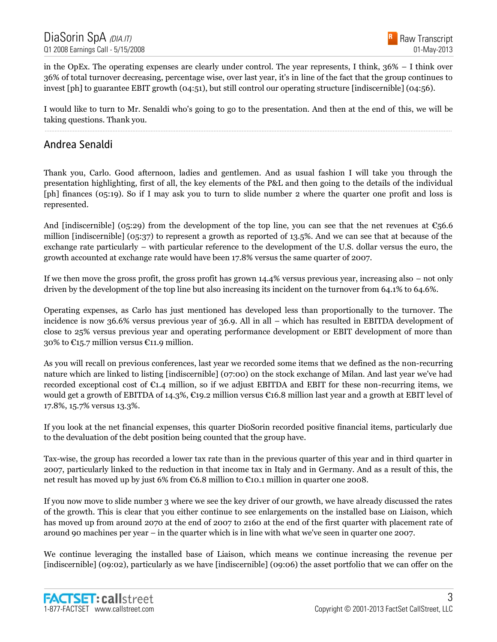in the OpEx. The operating expenses are clearly under control. The year represents, I think, 36% – I think over 36% of total turnover decreasing, percentage wise, over last year, it's in line of the fact that the group continues to invest [ph] to guarantee EBIT growth (04:51), but still control our operating structure [indiscernible] (04:56).

I would like to turn to Mr. Senaldi who's going to go to the presentation. And then at the end of this, we will be taking questions. Thank you. ......................................................................................................................................................................................................................................................

#### Andrea Senaldi

Thank you, Carlo. Good afternoon, ladies and gentlemen. And as usual fashion I will take you through the presentation highlighting, first of all, the key elements of the P&L and then going to the details of the individual [ph] finances (05:19). So if I may ask you to turn to slide number 2 where the quarter one profit and loss is represented.

And [indiscernible] (05:29) from the development of the top line, you can see that the net revenues at  $\epsilon$ 56.6 million [indiscernible] (05:37) to represent a growth as reported of 13.5%. And we can see that at because of the exchange rate particularly – with particular reference to the development of the U.S. dollar versus the euro, the growth accounted at exchange rate would have been 17.8% versus the same quarter of 2007.

If we then move the gross profit, the gross profit has grown 14.4% versus previous year, increasing also – not only driven by the development of the top line but also increasing its incident on the turnover from 64.1% to 64.6%.

Operating expenses, as Carlo has just mentioned has developed less than proportionally to the turnover. The incidence is now 36.6% versus previous year of 36.9. All in all – which has resulted in EBITDA development of close to 25% versus previous year and operating performance development or EBIT development of more than 30% to  $\epsilon$ 15.7 million versus  $\epsilon$ 11.9 million.

As you will recall on previous conferences, last year we recorded some items that we defined as the non-recurring nature which are linked to listing [indiscernible] (07:00) on the stock exchange of Milan. And last year we've had recorded exceptional cost of  $\epsilon_{1,4}$  million, so if we adjust EBITDA and EBIT for these non-recurring items, we would get a growth of EBITDA of 14.3%,  $\epsilon$ 19.2 million versus  $\epsilon$ 16.8 million last year and a growth at EBIT level of 17.8%, 15.7% versus 13.3%.

If you look at the net financial expenses, this quarter DioSorin recorded positive financial items, particularly due to the devaluation of the debt position being counted that the group have.

Tax-wise, the group has recorded a lower tax rate than in the previous quarter of this year and in third quarter in 2007, particularly linked to the reduction in that income tax in Italy and in Germany. And as a result of this, the net result has moved up by just 6% from €6.8 million to €10.1 million in quarter one 2008.

If you now move to slide number 3 where we see the key driver of our growth, we have already discussed the rates of the growth. This is clear that you either continue to see enlargements on the installed base on Liaison, which has moved up from around 2070 at the end of 2007 to 2160 at the end of the first quarter with placement rate of around 90 machines per year – in the quarter which is in line with what we've seen in quarter one 2007.

We continue leveraging the installed base of Liaison, which means we continue increasing the revenue per [indiscernible] (09:02), particularly as we have [indiscernible] (09:06) the asset portfolio that we can offer on the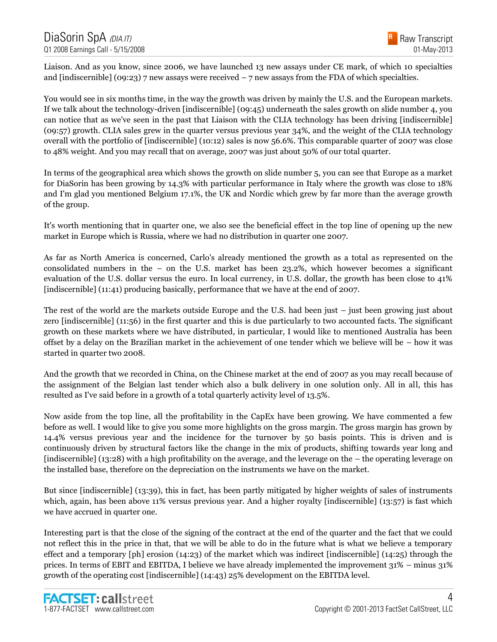Liaison. And as you know, since 2006, we have launched 13 new assays under CE mark, of which 10 specialties and [indiscernible] (09:23)  $7$  new assays were received  $-7$  new assays from the FDA of which specialties.

You would see in six months time, in the way the growth was driven by mainly the U.S. and the European markets. If we talk about the technology-driven [indiscernible] (09:45) underneath the sales growth on slide number 4, you can notice that as we've seen in the past that Liaison with the CLIA technology has been driving [indiscernible] (09:57) growth. CLIA sales grew in the quarter versus previous year 34%, and the weight of the CLIA technology overall with the portfolio of [indiscernible] (10:12) sales is now 56.6%. This comparable quarter of 2007 was close to 48% weight. And you may recall that on average, 2007 was just about 50% of our total quarter.

In terms of the geographical area which shows the growth on slide number 5, you can see that Europe as a market for DiaSorin has been growing by 14.3% with particular performance in Italy where the growth was close to 18% and I'm glad you mentioned Belgium 17.1%, the UK and Nordic which grew by far more than the average growth of the group.

It's worth mentioning that in quarter one, we also see the beneficial effect in the top line of opening up the new market in Europe which is Russia, where we had no distribution in quarter one 2007.

As far as North America is concerned, Carlo's already mentioned the growth as a total as represented on the consolidated numbers in the – on the U.S. market has been 23.2%, which however becomes a significant evaluation of the U.S. dollar versus the euro. In local currency, in U.S. dollar, the growth has been close to 41% [indiscernible] (11:41) producing basically, performance that we have at the end of 2007.

The rest of the world are the markets outside Europe and the U.S. had been just – just been growing just about zero [indiscernible] (11:56) in the first quarter and this is due particularly to two accounted facts. The significant growth on these markets where we have distributed, in particular, I would like to mentioned Australia has been offset by a delay on the Brazilian market in the achievement of one tender which we believe will be – how it was started in quarter two 2008.

And the growth that we recorded in China, on the Chinese market at the end of 2007 as you may recall because of the assignment of the Belgian last tender which also a bulk delivery in one solution only. All in all, this has resulted as I've said before in a growth of a total quarterly activity level of 13.5%.

Now aside from the top line, all the profitability in the CapEx have been growing. We have commented a few before as well. I would like to give you some more highlights on the gross margin. The gross margin has grown by 14.4% versus previous year and the incidence for the turnover by 50 basis points. This is driven and is continuously driven by structural factors like the change in the mix of products, shifting towards year long and [indiscernible] (13:28) with a high profitability on the average, and the leverage on the – the operating leverage on the installed base, therefore on the depreciation on the instruments we have on the market.

But since [indiscernible] (13:39), this in fact, has been partly mitigated by higher weights of sales of instruments which, again, has been above 11% versus previous year. And a higher royalty [indiscernible] (13:57) is fast which we have accrued in quarter one.

Interesting part is that the close of the signing of the contract at the end of the quarter and the fact that we could not reflect this in the price in that, that we will be able to do in the future what is what we believe a temporary effect and a temporary [ph] erosion (14:23) of the market which was indirect [indiscernible] (14:25) through the prices. In terms of EBIT and EBITDA, I believe we have already implemented the improvement 31% – minus 31% growth of the operating cost [indiscernible] (14:43) 25% development on the EBITDA level.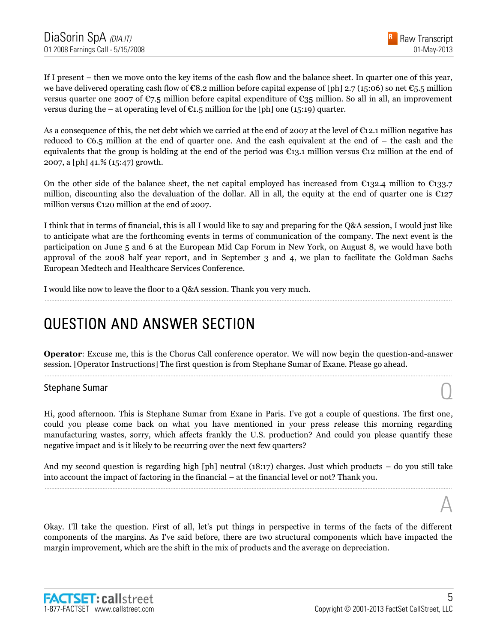

If I present – then we move onto the key items of the cash flow and the balance sheet. In quarter one of this year, we have delivered operating cash flow of  $\epsilon$ 8.2 million before capital expense of [ph] 2.7 (15:06) so net  $\epsilon$ 5.5 million versus quarter one 2007 of  $\epsilon$ 7.5 million before capital expenditure of  $\epsilon$ 35 million. So all in all, an improvement versus during the – at operating level of  $\mathfrak{C}1.5$  million for the [ph] one (15:19) quarter.

As a consequence of this, the net debt which we carried at the end of 2007 at the level of €12.1 million negative has reduced to  $\epsilon$ 6.5 million at the end of quarter one. And the cash equivalent at the end of – the cash and the equivalents that the group is holding at the end of the period was  $\epsilon_{13.1}$  million versus  $\epsilon_{12}$  million at the end of 2007, a [ph] 41.% (15:47) growth.

On the other side of the balance sheet, the net capital employed has increased from  $\epsilon_{132.4}$  million to  $\epsilon_{133.7}$ million, discounting also the devaluation of the dollar. All in all, the equity at the end of quarter one is  $\epsilon_{127}$ million versus €120 million at the end of 2007.

I think that in terms of financial, this is all I would like to say and preparing for the Q&A session, I would just like to anticipate what are the forthcoming events in terms of communication of the company. The next event is the participation on June 5 and 6 at the European Mid Cap Forum in New York, on August 8, we would have both approval of the 2008 half year report, and in September 3 and 4, we plan to facilitate the Goldman Sachs European Medtech and Healthcare Services Conference.

......................................................................................................................................................................................................................................................

I would like now to leave the floor to a Q&A session. Thank you very much.

#### QUESTION AND ANSWER SECTION

**Operator**: Excuse me, this is the Chorus Call conference operator. We will now begin the question-and-answer session. [Operator Instructions] The first question is from Stephane Sumar of Exane. Please go ahead. ......................................................................................................................................................................................................................................................

# Stephane Sumar  $\bigcirc$

Hi, good afternoon. This is Stephane Sumar from Exane in Paris. I've got a couple of questions. The first one, could you please come back on what you have mentioned in your press release this morning regarding manufacturing wastes, sorry, which affects frankly the U.S. production? And could you please quantify these negative impact and is it likely to be recurring over the next few quarters?

And my second question is regarding high [ph] neutral (18:17) charges. Just which products – do you still take into account the impact of factoring in the financial – at the financial level or not? Thank you. ......................................................................................................................................................................................................................................................

Okay. I'll take the question. First of all, let's put things in perspective in terms of the facts of the different components of the margins. As I've said before, there are two structural components which have impacted the margin improvement, which are the shift in the mix of products and the average on depreciation.

A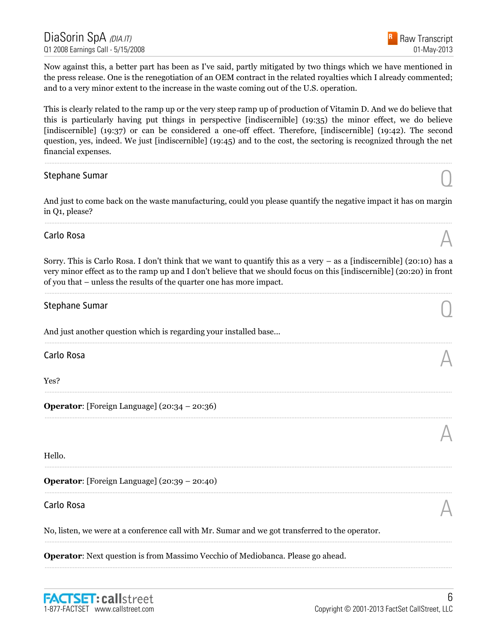Now against this, a better part has been as I've said, partly mitigated by two things which we have mentioned in the press release. One is the renegotiation of an OEM contract in the related royalties which I already commented; and to a very minor extent to the increase in the waste coming out of the U.S. operation.

This is clearly related to the ramp up or the very steep ramp up of production of Vitamin D. And we do believe that this is particularly having put things in perspective [indiscernible] (19:35) the minor effect, we do believe [indiscernible] (19:37) or can be considered a one-off effect. Therefore, [indiscernible] (19:42). The second question, yes, indeed. We just [indiscernible] (19:45) and to the cost, the sectoring is recognized through the net financial expenses.

......................................................................................................................................................................................................................................................

# Stephane Sumar  $\bigcirc$

And just to come back on the waste manufacturing, could you please quantify the negative impact it has on margin in Q1, please? ......................................................................................................................................................................................................................................................

# Carlo Rosa  $\mathbb A$

Sorry. This is Carlo Rosa. I don't think that we want to quantify this as a very – as a [indiscernible] (20:10) has a very minor effect as to the ramp up and I don't believe that we should focus on this [indiscernible] (20:20) in front of you that – unless the results of the quarter one has more impact.

......................................................................................................................................................................................................................................................

......................................................................................................................................................................................................................................................

......................................................................................................................................................................................................................................................

......................................................................................................................................................................................................................................................

......................................................................................................................................................................................................................................................

......................................................................................................................................................................................................................................................

......................................................................................................................................................................................................................................................

......................................................................................................................................................................................................................................................

# Stephane Sumar  $\bigcirc$

And just another question which is regarding your installed base...

Carlo Rosa  $\mathbb A$ 

Yes?

**Operator**: [Foreign Language] (20:34 – 20:36)

Hello.

**Operator**: [Foreign Language] (20:39 – 20:40)

# Carlo Rosa  $\mathbb A$

No, listen, we were at a conference call with Mr. Sumar and we got transferred to the operator.

**Operator:** Next question is from Massimo Vecchio of Mediobanca. Please go ahead.

A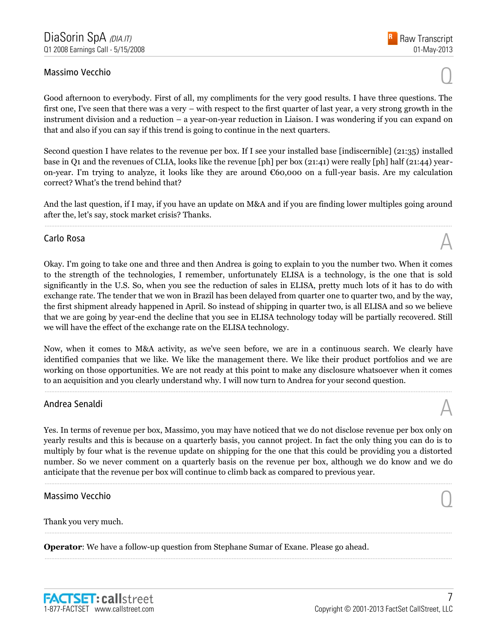# Massimo Vecchio Quanti all'estimato di un controllo di un controllo di un controllo di un controllo di un controllo di un controllo di un controllo di un controllo di un controllo di un controllo di un controllo di un cont

Good afternoon to everybody. First of all, my compliments for the very good results. I have three questions. The first one, I've seen that there was a very – with respect to the first quarter of last year, a very strong growth in the instrument division and a reduction – a year-on-year reduction in Liaison. I was wondering if you can expand on that and also if you can say if this trend is going to continue in the next quarters.

Second question I have relates to the revenue per box. If I see your installed base [indiscernible] (21:35) installed base in Q1 and the revenues of CLIA, looks like the revenue [ph] per box (21:41) were really [ph] half (21:44) yearon-year. I'm trying to analyze, it looks like they are around €60,000 on a full-year basis. Are my calculation correct? What's the trend behind that?

And the last question, if I may, if you have an update on M&A and if you are finding lower multiples going around after the, let's say, stock market crisis? Thanks. ......................................................................................................................................................................................................................................................

# Carlo Rosa  $\mathbb A$

Okay. I'm going to take one and three and then Andrea is going to explain to you the number two. When it comes to the strength of the technologies, I remember, unfortunately ELISA is a technology, is the one that is sold significantly in the U.S. So, when you see the reduction of sales in ELISA, pretty much lots of it has to do with exchange rate. The tender that we won in Brazil has been delayed from quarter one to quarter two, and by the way, the first shipment already happened in April. So instead of shipping in quarter two, is all ELISA and so we believe that we are going by year-end the decline that you see in ELISA technology today will be partially recovered. Still we will have the effect of the exchange rate on the ELISA technology.

Now, when it comes to M&A activity, as we've seen before, we are in a continuous search. We clearly have identified companies that we like. We like the management there. We like their product portfolios and we are working on those opportunities. We are not ready at this point to make any disclosure whatsoever when it comes to an acquisition and you clearly understand why. I will now turn to Andrea for your second question.

......................................................................................................................................................................................................................................................

# Andrea Senaldi  $\mathbb A$

Yes. In terms of revenue per box, Massimo, you may have noticed that we do not disclose revenue per box only on yearly results and this is because on a quarterly basis, you cannot project. In fact the only thing you can do is to multiply by four what is the revenue update on shipping for the one that this could be providing you a distorted number. So we never comment on a quarterly basis on the revenue per box, although we do know and we do anticipate that the revenue per box will continue to climb back as compared to previous year.

......................................................................................................................................................................................................................................................

......................................................................................................................................................................................................................................................

......................................................................................................................................................................................................................................................

# Massimo Vecchio Quando de Santo Constituito de Santo Constituito de Santo Constituito de Santo Constituito de S<br>O constituito de Santo Constituito de Santo Constituito de Santo Constituito de Santo Constituito de Santo Con

Thank you very much.

**Operator**: We have a follow-up question from Stephane Sumar of Exane. Please go ahead.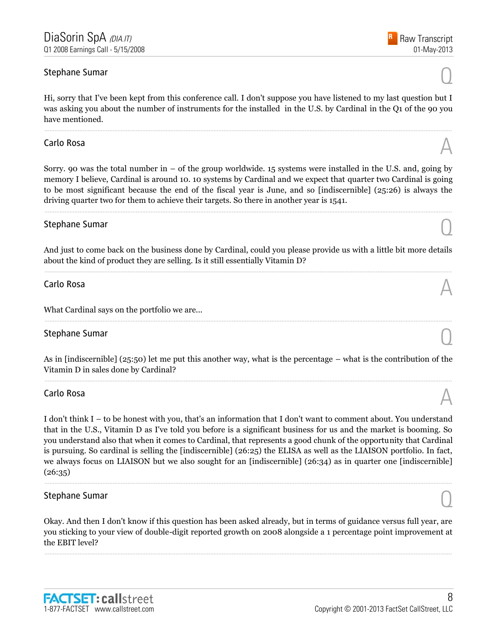# Stephane Sumar  $\bigcirc$

Hi, sorry that I've been kept from this conference call. I don't suppose you have listened to my last question but I was asking you about the number of instruments for the installed in the U.S. by Cardinal in the Q1 of the 90 you have mentioned.

......................................................................................................................................................................................................................................................

# Carlo Rosa  $\mathbb A$

Sorry. 90 was the total number in – of the group worldwide. 15 systems were installed in the U.S. and, going by memory I believe, Cardinal is around 10. 10 systems by Cardinal and we expect that quarter two Cardinal is going to be most significant because the end of the fiscal year is June, and so [indiscernible] (25:26) is always the driving quarter two for them to achieve their targets. So there in another year is 1541.

......................................................................................................................................................................................................................................................

# Stephane Sumar  $\bigcirc$

And just to come back on the business done by Cardinal, could you please provide us with a little bit more details about the kind of product they are selling. Is it still essentially Vitamin D? ......................................................................................................................................................................................................................................................

# Carlo Rosa  $\mathbb A$

What Cardinal says on the portfolio we are...

# Stephane Sumar  $\bigcirc$

As in [indiscernible] (25:50) let me put this another way, what is the percentage – what is the contribution of the Vitamin D in sales done by Cardinal? ......................................................................................................................................................................................................................................................

......................................................................................................................................................................................................................................................

# Carlo Rosa  $\mathbb A$

I don't think I – to be honest with you, that's an information that I don't want to comment about. You understand that in the U.S., Vitamin D as I've told you before is a significant business for us and the market is booming. So you understand also that when it comes to Cardinal, that represents a good chunk of the opportunity that Cardinal is pursuing. So cardinal is selling the [indiscernible] (26:25) the ELISA as well as the LIAISON portfolio. In fact, we always focus on LIAISON but we also sought for an [indiscernible] (26:34) as in quarter one [indiscernible]  $(26:35)$ 

......................................................................................................................................................................................................................................................

# Stephane Sumar  $\bigcirc$

Okay. And then I don't know if this question has been asked already, but in terms of guidance versus full year, are you sticking to your view of double-digit reported growth on 2008 alongside a 1 percentage point improvement at the EBIT level?

......................................................................................................................................................................................................................................................

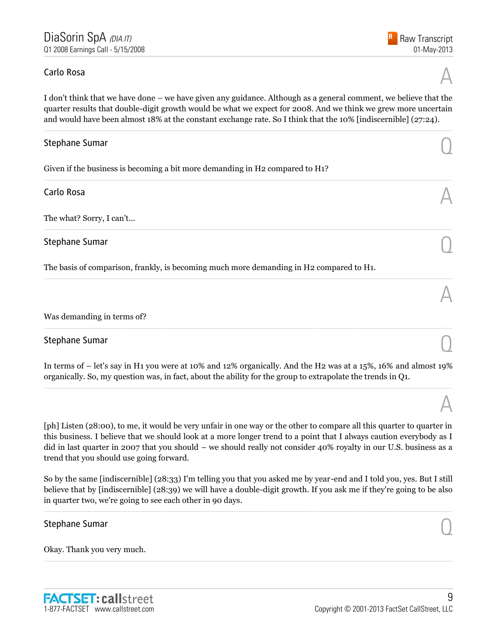# Carlo Rosa  $\mathbb A$

A

A

I don't think that we have done – we have given any guidance. Although as a general comment, we believe that the quarter results that double-digit growth would be what we expect for 2008. And we think we grew more uncertain and would have been almost 18% at the constant exchange rate. So I think that the 10% [indiscernible] (27:24).

......................................................................................................................................................................................................................................................

......................................................................................................................................................................................................................................................

......................................................................................................................................................................................................................................................

......................................................................................................................................................................................................................................................

# Stephane Sumar  $\bigcirc$

Given if the business is becoming a bit more demanding in H2 compared to H1?

# Carlo Rosa  $\mathbb A$

The what? Sorry, I can't...

# Stephane Sumar  $\bigcirc$

The basis of comparison, frankly, is becoming much more demanding in H2 compared to H1.

#### Was demanding in terms of?

# Stephane Sumar  $\bigcirc$

In terms of – let's say in H1 you were at 10% and 12% organically. And the H2 was at a 15%, 16% and almost 19% organically. So, my question was, in fact, about the ability for the group to extrapolate the trends in Q1. ......................................................................................................................................................................................................................................................

......................................................................................................................................................................................................................................................

[ph] Listen (28:00), to me, it would be very unfair in one way or the other to compare all this quarter to quarter in this business. I believe that we should look at a more longer trend to a point that I always caution everybody as I did in last quarter in 2007 that you should – we should really not consider 40% royalty in our U.S. business as a trend that you should use going forward.

So by the same [indiscernible] (28:33) I'm telling you that you asked me by year-end and I told you, yes. But I still believe that by [indiscernible] (28:39) we will have a double-digit growth. If you ask me if they're going to be also in quarter two, we're going to see each other in 90 days.

......................................................................................................................................................................................................................................................

......................................................................................................................................................................................................................................................

# Stephane Sumar  $\bigcirc$

Okay. Thank you very much.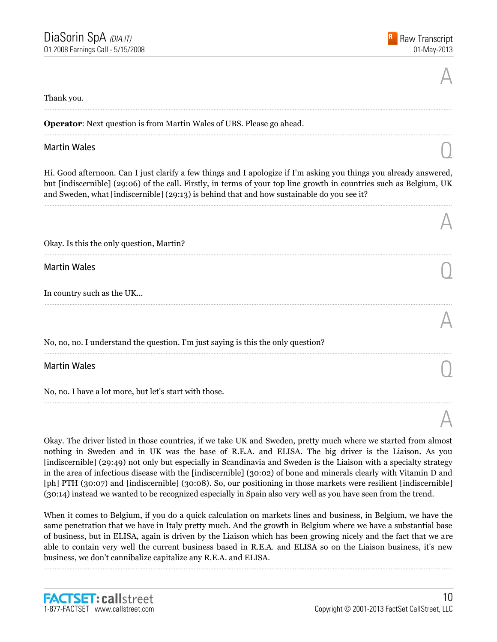A

A

A

A

#### Thank you.

**Operator:** Next question is from Martin Wales of UBS. Please go ahead.

# Martin Wales  $\bigcirc$

Hi. Good afternoon. Can I just clarify a few things and I apologize if I'm asking you things you already answered, but [indiscernible] (29:06) of the call. Firstly, in terms of your top line growth in countries such as Belgium, UK and Sweden, what [indiscernible] (29:13) is behind that and how sustainable do you see it?

......................................................................................................................................................................................................................................................

......................................................................................................................................................................................................................................................

......................................................................................................................................................................................................................................................

......................................................................................................................................................................................................................................................

......................................................................................................................................................................................................................................................

......................................................................................................................................................................................................................................................

......................................................................................................................................................................................................................................................

| Okay. Is this the only question, Martin? |  |  |  |  |
|------------------------------------------|--|--|--|--|
|------------------------------------------|--|--|--|--|

Martin Wales  $\bigcirc$ 

In country such as the UK...

No, no, no. I understand the question. I'm just saying is this the only question?

# Martin Wales  $\bigcirc$

No, no. I have a lot more, but let's start with those.

Okay. The driver listed in those countries, if we take UK and Sweden, pretty much where we started from almost nothing in Sweden and in UK was the base of R.E.A. and ELISA. The big driver is the Liaison. As you [indiscernible] (29:49) not only but especially in Scandinavia and Sweden is the Liaison with a specialty strategy in the area of infectious disease with the [indiscernible] (30:02) of bone and minerals clearly with Vitamin D and [ph] PTH (30:07) and [indiscernible] (30:08). So, our positioning in those markets were resilient [indiscernible] (30:14) instead we wanted to be recognized especially in Spain also very well as you have seen from the trend.

When it comes to Belgium, if you do a quick calculation on markets lines and business, in Belgium, we have the same penetration that we have in Italy pretty much. And the growth in Belgium where we have a substantial base of business, but in ELISA, again is driven by the Liaison which has been growing nicely and the fact that we are able to contain very well the current business based in R.E.A. and ELISA so on the Liaison business, it's new business, we don't cannibalize capitalize any R.E.A. and ELISA.

......................................................................................................................................................................................................................................................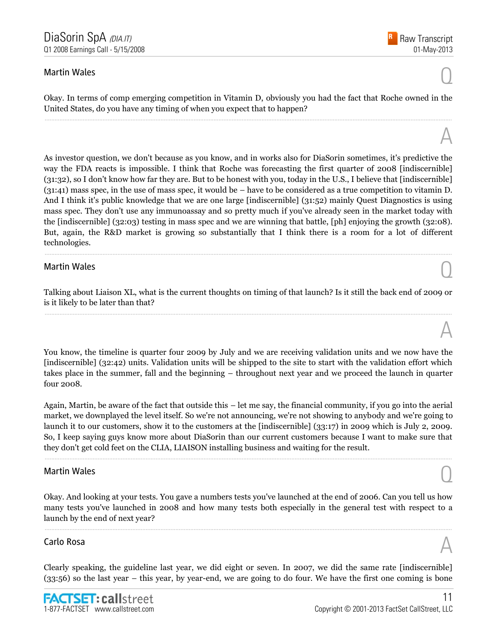# Martin Wales  $\bigcirc$

A

A

Okay. In terms of comp emerging competition in Vitamin D, obviously you had the fact that Roche owned in the United States, do you have any timing of when you expect that to happen? ......................................................................................................................................................................................................................................................

As investor question, we don't because as you know, and in works also for DiaSorin sometimes, it's predictive the way the FDA reacts is impossible. I think that Roche was forecasting the first quarter of 2008 [indiscernible] (31:32), so I don't know how far they are. But to be honest with you, today in the U.S., I believe that [indiscernible] (31:41) mass spec, in the use of mass spec, it would be – have to be considered as a true competition to vitamin D. And I think it's public knowledge that we are one large [indiscernible] (31:52) mainly Quest Diagnostics is using mass spec. They don't use any immunoassay and so pretty much if you've already seen in the market today with the [indiscernible] (32:03) testing in mass spec and we are winning that battle, [ph] enjoying the growth (32:08). But, again, the R&D market is growing so substantially that I think there is a room for a lot of different technologies.

# Martin Wales  $\bigcirc$

Talking about Liaison XL, what is the current thoughts on timing of that launch? Is it still the back end of 2009 or is it likely to be later than that? ......................................................................................................................................................................................................................................................

......................................................................................................................................................................................................................................................

You know, the timeline is quarter four 2009 by July and we are receiving validation units and we now have the [indiscernible] (32:42) units. Validation units will be shipped to the site to start with the validation effort which takes place in the summer, fall and the beginning – throughout next year and we proceed the launch in quarter four 2008.

Again, Martin, be aware of the fact that outside this – let me say, the financial community, if you go into the aerial market, we downplayed the level itself. So we're not announcing, we're not showing to anybody and we're going to launch it to our customers, show it to the customers at the [indiscernible] (33:17) in 2009 which is July 2, 2009. So, I keep saying guys know more about DiaSorin than our current customers because I want to make sure that they don't get cold feet on the CLIA, LIAISON installing business and waiting for the result.

......................................................................................................................................................................................................................................................

# Martin Wales  $\bigcirc$

Okay. And looking at your tests. You gave a numbers tests you've launched at the end of 2006. Can you tell us how many tests you've launched in 2008 and how many tests both especially in the general test with respect to a launch by the end of next year?

......................................................................................................................................................................................................................................................

# Carlo Rosa  $\mathbb A$

Clearly speaking, the guideline last year, we did eight or seven. In 2007, we did the same rate [indiscernible] (33:56) so the last year – this year, by year-end, we are going to do four. We have the first one coming is bone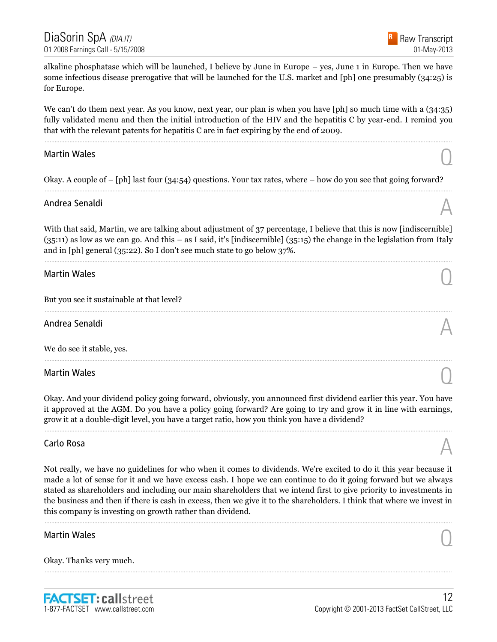

alkaline phosphatase which will be launched, I believe by June in Europe – yes, June 1 in Europe. Then we have some infectious disease prerogative that will be launched for the U.S. market and [ph] one presumably (34:25) is for Europe.

We can't do them next year. As you know, next year, our plan is when you have [ph] so much time with a  $(34:35)$ fully validated menu and then the initial introduction of the HIV and the hepatitis C by year-end. I remind you that with the relevant patents for hepatitis C are in fact expiring by the end of 2009.

......................................................................................................................................................................................................................................................

# Martin Wales  $\bigcirc$

Okay. A couple of – [ph] last four (34:54) questions. Your tax rates, where – how do you see that going forward? ......................................................................................................................................................................................................................................................

# Andrea Senaldi  $\mathbb A$

With that said, Martin, we are talking about adjustment of 37 percentage, I believe that this is now [indiscernible] (35:11) as low as we can go. And this – as I said, it's [indiscernible] (35:15) the change in the legislation from Italy and in [ph] general (35:22). So I don't see much state to go below 37%.

......................................................................................................................................................................................................................................................

......................................................................................................................................................................................................................................................

......................................................................................................................................................................................................................................................

# Martin Wales  $\bigcirc$

But you see it sustainable at that level?

Andrea Senaldi  $\mathbb A$ 

We do see it stable, yes.

Martin Wales  $\bigcirc$ 

Okay. And your dividend policy going forward, obviously, you announced first dividend earlier this year. You have it approved at the AGM. Do you have a policy going forward? Are going to try and grow it in line with earnings, grow it at a double-digit level, you have a target ratio, how you think you have a dividend?

......................................................................................................................................................................................................................................................

# Carlo Rosa  $\mathbb A$

Not really, we have no guidelines for who when it comes to dividends. We're excited to do it this year because it made a lot of sense for it and we have excess cash. I hope we can continue to do it going forward but we always stated as shareholders and including our main shareholders that we intend first to give priority to investments in the business and then if there is cash in excess, then we give it to the shareholders. I think that where we invest in this company is investing on growth rather than dividend.

......................................................................................................................................................................................................................................................

......................................................................................................................................................................................................................................................

# Martin Wales  $\bigcirc$

Okay. Thanks very much.